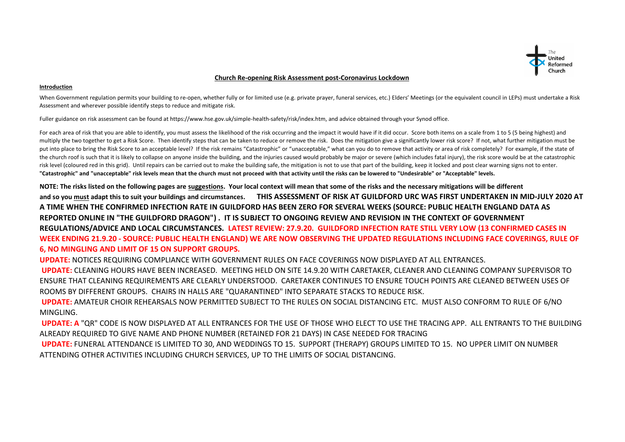

## **Church Re-opening Risk Assessment post-Coronavirus Lockdown**

## **Introduction**

When Government regulation permits your building to re-open, whether fully or for limited use (e.g. private prayer, funeral services, etc.) Elders' Meetings (or the equivalent council in LEPs) must undertake a Risk Assessment and wherever possible identify steps to reduce and mitigate risk.

Fuller guidance on risk assessment can be found at https://www.hse.gov.uk/simple-health-safety/risk/index.htm, and advice obtained through your Synod office.

For each area of risk that you are able to identify, you must assess the likelihood of the risk occurring and the impact it would have if it did occur. Score both items on a scale from 1 to 5 (5 being highest) and multiply the two together to get a Risk Score. Then identify steps that can be taken to reduce or remove the risk. Does the mitigation give a significantly lower risk score? If not, what further mitigation must be put into place to bring the Risk Score to an acceptable level? If the risk remains "Catastrophic" or "unacceptable," what can you do to remove that activity or area of risk completely? For example, if the state of the church roof is such that it is likely to collapse on anyone inside the building, and the injuries caused would probably be major or severe (which includes fatal injury), the risk score would be at the catastrophic risk level (coloured red in this grid). Until repairs can be carried out to make the building safe, the mitigation is not to use that part of the building, keep it locked and post clear warning signs not to enter. **"Catastrophic" and "unacceptable" risk levels mean that the church must not proceed with that activity until the risks can be lowered to "Undesirable" or "Acceptable" levels.** 

**NOTE: The risks listed on the following pages are suggestions. Your local context will mean that some of the risks and the necessary mitigations will be different and so you must adapt this to suit your buildings and circumstances. THIS ASSESSMENT OF RISK AT GUILDFORD URC WAS FIRST UNDERTAKEN IN MID-JULY 2020 AT A TIME WHEN THE CONFIRMED INFECTION RATE IN GUILDFORD HAS BEEN ZERO FOR SEVERAL WEEKS (SOURCE: PUBLIC HEALTH ENGLAND DATA AS REPORTED ONLINE IN "THE GUILDFORD DRAGON") . IT IS SUBJECT TO ONGOING REVIEW AND REVISION IN THE CONTEXT OF GOVERNMENT REGULATIONS/ADVICE AND LOCAL CIRCUMSTANCES. LATEST REVIEW: 27.9.20. GUILDFORD INFECTION RATE STILL VERY LOW (13 CONFIRMED CASES IN WEEK ENDING 21.9.20 - SOURCE: PUBLIC HEALTH ENGLAND) WE ARE NOW OBSERVING THE UPDATED REGULATIONS INCLUDING FACE COVERINGS, RULE OF 6, NO MINGLING AND LIMIT OF 15 ON SUPPORT GROUPS.** 

**UPDATE:** NOTICES REQUIRING COMPLIANCE WITH GOVERNMENT RULES ON FACE COVERINGS NOW DISPLAYED AT ALL ENTRANCES.

**UPDATE:** CLEANING HOURS HAVE BEEN INCREASED. MEETING HELD ON SITE 14.9.20 WITH CARETAKER, CLEANER AND CLEANING COMPANY SUPERVISOR TO ENSURE THAT CLEANING REQUIREMENTS ARE CLEARLY UNDERSTOOD. CARETAKER CONTINUES TO ENSURE TOUCH POINTS ARE CLEANED BETWEEN USES OF ROOMS BY DIFFERENT GROUPS. CHAIRS IN HALLS ARE "QUARANTINED" INTO SEPARATE STACKS TO REDUCE RISK.

**UPDATE:** AMATEUR CHOIR REHEARSALS NOW PERMITTED SUBJECT TO THE RULES ON SOCIAL DISTANCING ETC. MUST ALSO CONFORM TO RULE OF 6/NO MINGLING.

**UPDATE: A** "QR" CODE IS NOW DISPLAYED AT ALL ENTRANCES FOR THE USE OF THOSE WHO ELECT TO USE THE TRACING APP. ALL ENTRANTS TO THE BUILDING ALREADY REQUIRED TO GIVE NAME AND PHONE NUMBER (RETAINED FOR 21 DAYS) IN CASE NEEDED FOR TRACING

 **UPDATE:** FUNERAL ATTENDANCE IS LIMITED TO 30, AND WEDDINGS TO 15. SUPPORT (THERAPY) GROUPS LIMITED TO 15. NO UPPER LIMIT ON NUMBER ATTENDING OTHER ACTIVITIES INCLUDING CHURCH SERVICES, UP TO THE LIMITS OF SOCIAL DISTANCING.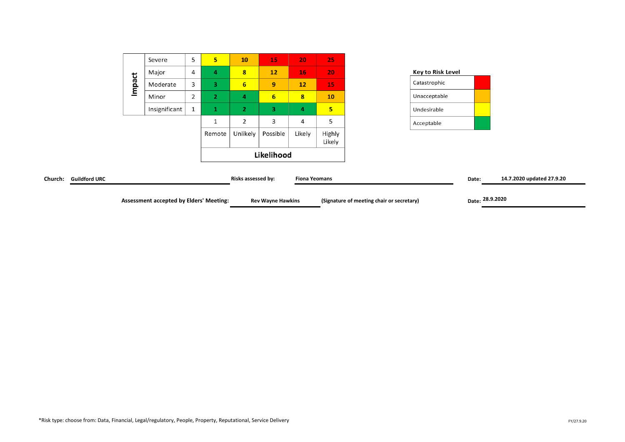|                      |        | <b>Assessment accepted by Elders' Meeting:</b> |                |                |                    | <b>Rev Wayne Hawkins</b> |                      |                  | (Signature of meeting chair or secretary) | Date: 28.9.2020 |                           |
|----------------------|--------|------------------------------------------------|----------------|----------------|--------------------|--------------------------|----------------------|------------------|-------------------------------------------|-----------------|---------------------------|
| <b>Guildford URC</b> |        |                                                |                |                | Risks assessed by: |                          | <b>Fiona Yeomans</b> |                  |                                           | Date:           | 14.7.2020 updated 27.9.20 |
|                      |        |                                                |                |                |                    | Likelihood               |                      |                  |                                           |                 |                           |
|                      |        |                                                |                | Remote         | Unlikely           | Possible                 | Likely               | Highly<br>Likely |                                           |                 |                           |
|                      |        |                                                |                | ᆠ              | 2                  | 3                        | 4                    | 5                | Acceptable                                |                 |                           |
|                      |        | Insignificant                                  | $\mathbf{1}$   | ш.             | 2                  | 3                        | 4                    | 5 <sub>5</sub>   | Undesirable                               |                 |                           |
|                      |        | Minor                                          | $\overline{2}$ | $\overline{2}$ | 4                  | 6 <sup>2</sup>           | 8 <sup>2</sup>       | 10               | Unacceptable                              |                 |                           |
|                      | Impact | Moderate                                       | 3              | 3.             | 6                  | 9                        | 12                   | 15               | Catastrophic                              |                 |                           |
|                      |        | Major                                          | $\overline{4}$ | 4              | 8                  | 12                       | 16                   | 20               | <b>Key to Risk Level</b>                  |                 |                           |
|                      |        | Severe                                         | 5              | 5 <sup>1</sup> | 10                 | 15                       | 20                   | 25               |                                           |                 |                           |
|                      |        |                                                |                |                |                    |                          |                      |                  |                                           |                 |                           |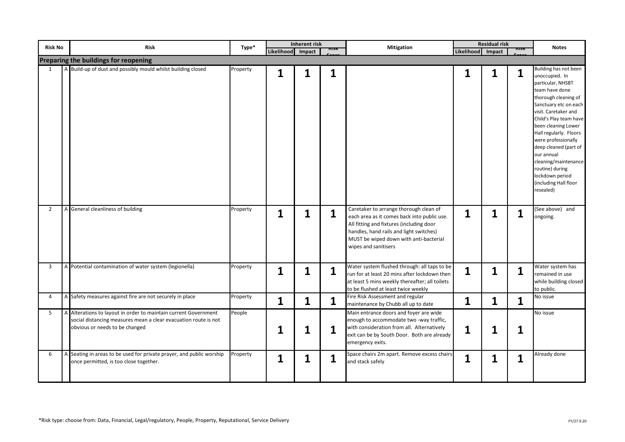| <b>Risk No</b> | <b>Risk</b>                                                                                                                                                          | Type*    | Likelihood Impact | <b>Inherent risk</b> | nısn | <b>Mitigation</b>                                                                                                                                                                                                                              | Likelihood Impact | <b>Residual risk</b> | msk | <b>Notes</b>                                                                                                                                                                                                                                                                                                                                                                                         |
|----------------|----------------------------------------------------------------------------------------------------------------------------------------------------------------------|----------|-------------------|----------------------|------|------------------------------------------------------------------------------------------------------------------------------------------------------------------------------------------------------------------------------------------------|-------------------|----------------------|-----|------------------------------------------------------------------------------------------------------------------------------------------------------------------------------------------------------------------------------------------------------------------------------------------------------------------------------------------------------------------------------------------------------|
|                | Preparing the buildings for reopening                                                                                                                                |          |                   |                      |      |                                                                                                                                                                                                                                                |                   |                      |     |                                                                                                                                                                                                                                                                                                                                                                                                      |
|                | A Build-up of dust and possibly mould whilst building closed                                                                                                         | Property | 1                 |                      | 1    |                                                                                                                                                                                                                                                | 1                 | 1                    | 1   | Building has not been<br>unoccupied. In<br>particular, NHSBT<br>team have done<br>thorough cleaning of<br>Sanctuary etc on each<br>visit. Caretaker and<br>Child's Play team have<br>been cleaning Lower<br>Hall regularly. Floors<br>were professionally<br>deep cleaned (part of<br>our annual<br>cleaning/maintenance<br>routine) during<br>lockdown period<br>(including Hall floor<br>resealed) |
| $\overline{2}$ | General cleanliness of building                                                                                                                                      | Property | 1                 | 1                    | 1    | Caretaker to arrange thorough clean of<br>each area as it comes back into public use.<br>All fitting and fixtures (including door<br>handles, hand rails and light switches)<br>MUST be wiped down with anti-bacterial<br>wipes and sanitisers | $\mathbf{1}$      | 1                    | 1   | (See above) and<br>ongoing.                                                                                                                                                                                                                                                                                                                                                                          |
| 3              | A Potential contamination of water system (legionella)                                                                                                               | Property | 1                 | 1                    | 1    | Water system flushed through: all taps to be<br>run for at least 20 mins after lockdown then<br>at least 5 mins weekly thereafter; all toilets<br>to be flushed at least twice weekly                                                          | $\mathbf{1}$      | 1                    | 1   | Water system has<br>remained in use<br>while building closed<br>to public.                                                                                                                                                                                                                                                                                                                           |
| 4              | Safety measures against fire are not securely in place                                                                                                               | Property | 1                 | 1                    | 1    | Fire Risk Assessment and regular<br>maintenance by Chubb all up to date                                                                                                                                                                        | $\mathbf{1}$      | 1                    | 1   | No issue                                                                                                                                                                                                                                                                                                                                                                                             |
| 5              | A Alterations to layout in order to maintain current Government<br>social distancing measures mean a clear evacuation route is not<br>obvious or needs to be changed | People   |                   |                      | 1    | Main entrance doors and foyer are wide<br>enough to accommodate two -way traffic,<br>with consideration from all. Alternatively<br>exit can be by South Door. Both are already<br>emergency exits.                                             | 1                 | 1                    | 1   | No issue                                                                                                                                                                                                                                                                                                                                                                                             |
| 6              | A Seating in areas to be used for private prayer, and public worship<br>once permitted, is too close together.                                                       | Property | 1                 |                      | 1    | Space chairs 2m apart. Remove excess chairs<br>and stack safely                                                                                                                                                                                | 1                 | 1                    | 1   | Already done                                                                                                                                                                                                                                                                                                                                                                                         |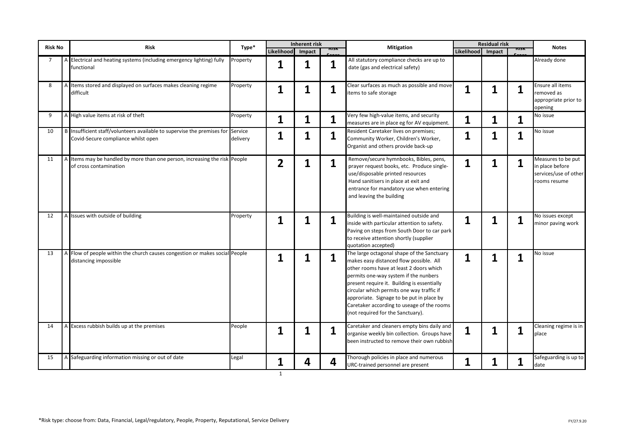| <b>Risk No</b> | <b>Risk</b>                                                                                                            | Type*    | Likelihood Impact | Inherent risk |                         | <b>Mitigation</b>                                                                                                                                                                                                                                                                                                                                                                                     | Likelihood Impact | <b>Residual risk</b> |   | <b>Notes</b>                                                                   |
|----------------|------------------------------------------------------------------------------------------------------------------------|----------|-------------------|---------------|-------------------------|-------------------------------------------------------------------------------------------------------------------------------------------------------------------------------------------------------------------------------------------------------------------------------------------------------------------------------------------------------------------------------------------------------|-------------------|----------------------|---|--------------------------------------------------------------------------------|
| $\overline{7}$ | A Electrical and heating systems (including emergency lighting) fully<br>unctional <sup>-</sup>                        | Property | 1                 | 1             | 1                       | All statutory compliance checks are up to<br>date (gas and electrical safety)                                                                                                                                                                                                                                                                                                                         |                   |                      |   | Already done                                                                   |
| 8              | Items stored and displayed on surfaces makes cleaning regime<br>difficult                                              | Property | 1                 | 1             | $\overline{\mathbf{1}}$ | Clear surfaces as much as possible and move<br>items to safe storage                                                                                                                                                                                                                                                                                                                                  | 1                 | 1                    | 1 | Ensure all items<br>removed as<br>appropriate prior to<br>opening              |
| 9              | A High value items at risk of theft                                                                                    | Property | 1                 | $\mathbf 1$   | 1                       | Very few high-value items, and security<br>measures are in place eg for AV equipment.                                                                                                                                                                                                                                                                                                                 | 1                 | 1                    | 1 | No issue                                                                       |
| 10             | B Insufficient staff/volunteers available to supervise the premises for Service<br>Covid-Secure compliance whilst open | delivery | 1                 | 1             | 1                       | Resident Caretaker lives on premises;<br>Community Worker, Children's Worker,<br>Organist and others provide back-up                                                                                                                                                                                                                                                                                  | 1                 | 1                    |   | No issue                                                                       |
| 11             | A Items may be handled by more than one person, increasing the risk People<br>of cross contamination                   |          | $\overline{2}$    | 1             | 1                       | Remove/secure hymnbooks, Bibles, pens,<br>prayer request books, etc. Produce single-<br>use/disposable printed resources<br>Hand sanitisers in place at exit and<br>entrance for mandatory use when entering<br>and leaving the building                                                                                                                                                              | 1                 | 1                    | 1 | Measures to be put<br>in place before<br>services/use of other<br>rooms resume |
| 12             | Issues with outside of building                                                                                        | Property | 1                 | 1             | 1                       | Building is well-maintained outside and<br>inside with particular attention to safety.<br>Paving on steps from South Door to car park<br>to receive attention shortly (supplier<br>quotation accepted)                                                                                                                                                                                                | 1                 | 1                    | 1 | No issues except<br>minor paving work                                          |
| 13             | A Flow of people within the church causes congestion or makes social People<br>distancing impossible                   |          | 1                 | 1             | 1                       | The large octagonal shape of the Sanctuary<br>makes easy distanced flow possible. All<br>other rooms have at least 2 doors which<br>permits one-way system if the nunbers<br>present require it. Building is essentially<br>circular which permits one way traffic if<br>approriate. Signage to be put in place by<br>Caretaker according to useage of the rooms<br>(not required for the Sanctuary). | 1                 | 1                    | 1 | No issue                                                                       |
| 14             | A Excess rubbish builds up at the premises                                                                             | People   | 1                 | 1             | 1                       | Caretaker and cleaners empty bins daily and<br>organise weekly bin collection. Groups have<br>been instructed to remove their own rubbish                                                                                                                                                                                                                                                             | 1                 | 1                    |   | Cleaning regime is in<br>place                                                 |
| 15             | A Safeguarding information missing or out of date                                                                      | Legal    | 1<br>1            | 4             | 4                       | Thorough policies in place and numerous<br>URC-trained personnel are present                                                                                                                                                                                                                                                                                                                          | 1                 | 1                    | 1 | Safeguarding is up to<br>date                                                  |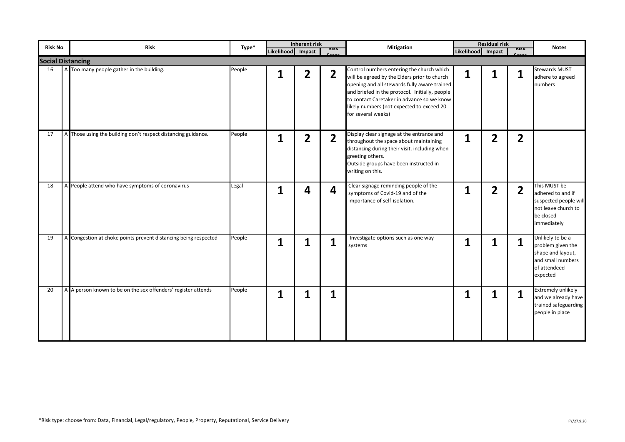| <b>Risk No</b> | <b>Risk</b>                                                     | Type*  |                   | <b>Inherent risk</b> |                         | <b>Mitigation</b>                                                                                                                                                                                                                                                                                            |                   | <b>Residual risk</b> |                | <b>Notes</b>                                                                                                  |
|----------------|-----------------------------------------------------------------|--------|-------------------|----------------------|-------------------------|--------------------------------------------------------------------------------------------------------------------------------------------------------------------------------------------------------------------------------------------------------------------------------------------------------------|-------------------|----------------------|----------------|---------------------------------------------------------------------------------------------------------------|
|                |                                                                 |        | Likelihood Impact |                      | msn                     |                                                                                                                                                                                                                                                                                                              | Likelihood Impact |                      | msk            |                                                                                                               |
|                | <b>Social Distancing</b>                                        |        |                   |                      |                         |                                                                                                                                                                                                                                                                                                              |                   |                      |                |                                                                                                               |
| 16             | A Too many people gather in the building.                       | People | 1                 | $\overline{2}$       | $\overline{2}$          | Control numbers entering the church which<br>will be agreed by the Elders prior to church<br>opening and all stewards fully aware trained<br>and briefed in the protocol. Initially, people<br>to contact Caretaker in advance so we know<br>likely numbers (not expected to exceed 20<br>for several weeks) | 1                 | 1                    | 1              | Stewards MUST<br>adhere to agreed<br>numbers                                                                  |
| 17             | A Those using the building don't respect distancing guidance.   | People | 1                 | $\overline{2}$       | $\overline{2}$          | Display clear signage at the entrance and<br>throughout the space about maintaining<br>distancing during their visit, including when<br>greeting others.<br>Outside groups have been instructed in<br>writing on this.                                                                                       | 1                 | $\overline{2}$       | $\overline{2}$ |                                                                                                               |
| 18             | A People attend who have symptoms of coronavirus                | Legal  | 1                 | 4                    | $\overline{\mathbf{4}}$ | Clear signage reminding people of the<br>symptoms of Covid-19 and of the<br>importance of self-isolation.                                                                                                                                                                                                    | 1                 | $\overline{2}$       | $\overline{2}$ | This MUST be<br>adhered to and if<br>suspected people will<br>not leave church to<br>be closed<br>immediately |
| 19             | A Congestion at choke points prevent distancing being respected | People | 1                 | 1                    | 1                       | Investigate options such as one way<br>systems                                                                                                                                                                                                                                                               | 1                 | 1                    | 1              | Unlikely to be a<br>problem given the<br>shape and layout,<br>and small numbers<br>of attendeed<br>expected   |
| 20             | A A person known to be on the sex offenders' register attends   | People | 1                 | 1                    | $\overline{1}$          |                                                                                                                                                                                                                                                                                                              | 1                 | 1                    | 1              | <b>Extremely unlikely</b><br>and we already have<br>trained safeguarding<br>people in place                   |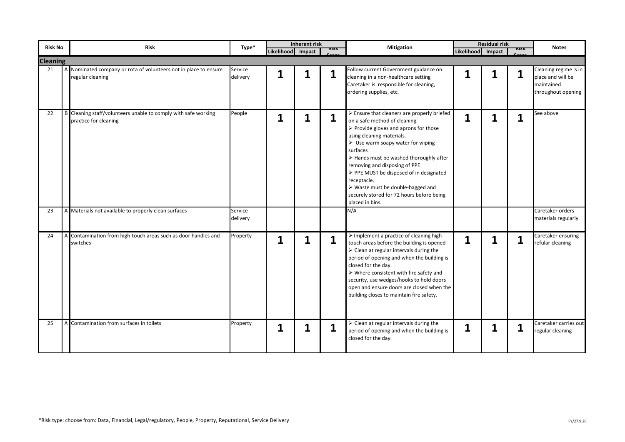| <b>Risk No</b>        |   | <b>Risk</b>                                                                             | Type*               |                   | Inherent risk | msn | <b>Mitigation</b>                                                                                                                                                                                                                                                                                                                                                                                                                                                                           |                   | <b>Residual risk</b> | <b>MSK</b>   | <b>Notes</b>                                                                   |
|-----------------------|---|-----------------------------------------------------------------------------------------|---------------------|-------------------|---------------|-----|---------------------------------------------------------------------------------------------------------------------------------------------------------------------------------------------------------------------------------------------------------------------------------------------------------------------------------------------------------------------------------------------------------------------------------------------------------------------------------------------|-------------------|----------------------|--------------|--------------------------------------------------------------------------------|
|                       |   |                                                                                         |                     | Likelihood Impact |               |     |                                                                                                                                                                                                                                                                                                                                                                                                                                                                                             | Likelihood Impact |                      |              |                                                                                |
| <b>Cleaning</b><br>21 | A | Nominated company or rota of volunteers not in place to ensure<br>regular cleaning      | Service<br>delivery | 1                 |               | 1   | Follow current Government guidance on<br>cleaning in a non-healthcare setting<br>Caretaker is responsible for cleaning,<br>ordering supplies, etc.                                                                                                                                                                                                                                                                                                                                          | 1                 | 1                    | 1            | Cleaning regime is in<br>place and will be<br>maintained<br>throughout opening |
| 22                    |   | B Cleaning staff/volunteers unable to comply with safe working<br>practice for cleaning | People              | 1                 |               | 1   | $\triangleright$ Ensure that cleaners are properly briefed<br>on a safe method of cleaning.<br>$\triangleright$ Provide gloves and aprons for those<br>using cleaning materials.<br>$\triangleright$ Use warm soapy water for wiping<br>surfaces<br>> Hands must be washed thoroughly after<br>removing and disposing of PPE<br>> PPE MUST be disposed of in designated<br>receptacle.<br>> Waste must be double-bagged and<br>securely stored for 72 hours before being<br>placed in bins. | 1                 | 1                    | 1            | See above                                                                      |
| 23                    |   | A Materials not available to properly clean surfaces                                    | Service<br>delivery |                   |               |     | N/A                                                                                                                                                                                                                                                                                                                                                                                                                                                                                         |                   |                      |              | Caretaker orders<br>materials regularly                                        |
| 24                    |   | A Contamination from high-touch areas such as door handles and<br>switches              | Property            | 1                 |               | 1   | $\triangleright$ Implement a practice of cleaning high-<br>touch areas before the building is opened<br>$\triangleright$ Clean at regular intervals during the<br>period of opening and when the building is<br>closed for the day.<br>$\triangleright$ Where consistent with fire safety and<br>security, use wedges/hooks to hold doors<br>open and ensure doors are closed when the<br>building closes to maintain fire safety.                                                          | $\mathbf{1}$      | 1                    | $\mathbf{1}$ | Caretaker ensuring<br>refular cleaning                                         |
| 25                    |   | A Contamination from surfaces in toilets                                                | Property            | 1                 |               | 1   | $\triangleright$ Clean at regular intervals during the<br>period of opening and when the building is<br>closed for the day.                                                                                                                                                                                                                                                                                                                                                                 | 1                 | 1                    | 1            | Caretaker carries out<br>regular cleaning                                      |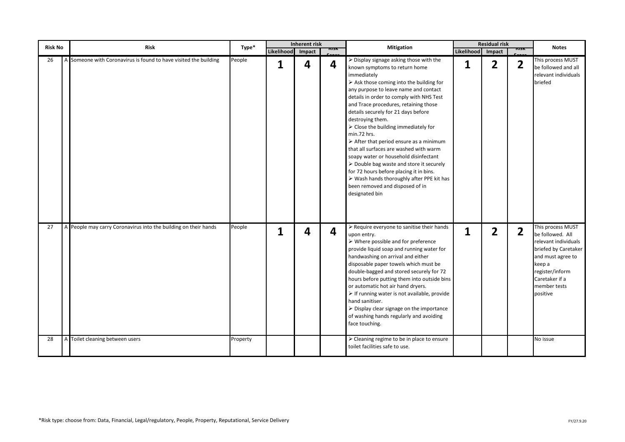| Risk No | <b>Risk</b>                                                      | Type*    |                   | Inherent risk |     | <b>Mitigation</b>                                                                                                                                                                                                                                                                                                                                                                                                                                                                                                                                                                                                                                                                                                                                                                     |                   | <b>Residual risk</b> |                | <b>Notes</b>                                                                                                                                                                          |
|---------|------------------------------------------------------------------|----------|-------------------|---------------|-----|---------------------------------------------------------------------------------------------------------------------------------------------------------------------------------------------------------------------------------------------------------------------------------------------------------------------------------------------------------------------------------------------------------------------------------------------------------------------------------------------------------------------------------------------------------------------------------------------------------------------------------------------------------------------------------------------------------------------------------------------------------------------------------------|-------------------|----------------------|----------------|---------------------------------------------------------------------------------------------------------------------------------------------------------------------------------------|
|         |                                                                  |          | Likelihood Impact |               | msk |                                                                                                                                                                                                                                                                                                                                                                                                                                                                                                                                                                                                                                                                                                                                                                                       | Likelihood Impact |                      | msn            |                                                                                                                                                                                       |
| 26      | A Someone with Coronavirus is found to have visited the building | People   | 1                 | 4             | 4   | $\triangleright$ Display signage asking those with the<br>known symptoms to return home<br>immediately<br>$\triangleright$ Ask those coming into the building for<br>any purpose to leave name and contact<br>details in order to comply with NHS Test<br>and Trace procedures, retaining those<br>details securely for 21 days before<br>destroying them.<br>$\triangleright$ Close the building immediately for<br>min.72 hrs.<br>$\triangleright$ After that period ensure as a minimum<br>that all surfaces are washed with warm<br>soapy water or household disinfectant<br>$\triangleright$ Double bag waste and store it securely<br>for 72 hours before placing it in bins.<br>> Wash hands thoroughly after PPE kit has<br>been removed and disposed of in<br>designated bin | 1                 | $\overline{2}$       | $\overline{2}$ | This process MUST<br>be followed and all<br>relevant individuals<br>briefed                                                                                                           |
| 27      | A People may carry Coronavirus into the building on their hands  | People   | 1                 | 4             | 4   | $\triangleright$ Require everyone to sanitise their hands<br>upon entry.<br>$\triangleright$ Where possible and for preference<br>provide liquid soap and running water for<br>handwashing on arrival and either<br>disposable paper towels which must be<br>double-bagged and stored securely for 72<br>hours before putting them into outside bins<br>or automatic hot air hand dryers.<br>$\triangleright$ If running water is not available, provide<br>hand sanitiser.<br>$\triangleright$ Display clear signage on the importance<br>of washing hands regularly and avoiding<br>face touching.                                                                                                                                                                                  | 1                 | $\overline{2}$       | $\overline{2}$ | This process MUST<br>be followed. All<br>relevant individuals<br>briefed by Caretaker<br>and must agree to<br>keep a<br>register/inform<br>Caretaker if a<br>member tests<br>positive |
| 28      | Toilet cleaning between users                                    | Property |                   |               |     | > Cleaning regime to be in place to ensure<br>toilet facilities safe to use.                                                                                                                                                                                                                                                                                                                                                                                                                                                                                                                                                                                                                                                                                                          |                   |                      |                | No issue                                                                                                                                                                              |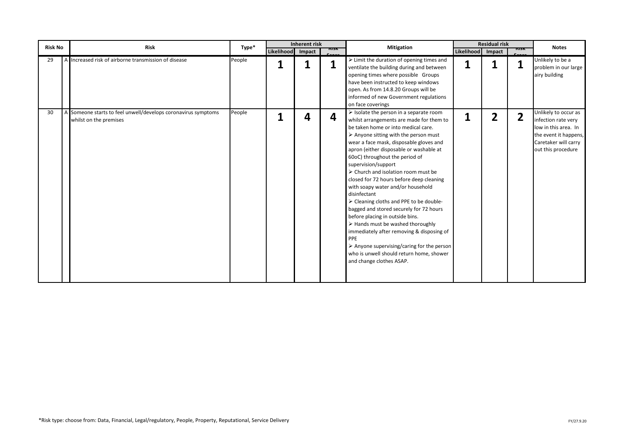| <b>Risk No</b> | <b>Risk</b>                                                                             | Type*  |                   | <b>Inherent risk</b> |     | <b>Mitigation</b>                                                                                                                                                                                                                                                                                                                                                                                                                                                                                                                                                                                                                                                                                                                                                                                                                               |                   | <b>Residual risk</b> |                | <b>Notes</b>                                                                                                                               |
|----------------|-----------------------------------------------------------------------------------------|--------|-------------------|----------------------|-----|-------------------------------------------------------------------------------------------------------------------------------------------------------------------------------------------------------------------------------------------------------------------------------------------------------------------------------------------------------------------------------------------------------------------------------------------------------------------------------------------------------------------------------------------------------------------------------------------------------------------------------------------------------------------------------------------------------------------------------------------------------------------------------------------------------------------------------------------------|-------------------|----------------------|----------------|--------------------------------------------------------------------------------------------------------------------------------------------|
|                |                                                                                         |        | Likelihood Impact |                      | msk |                                                                                                                                                                                                                                                                                                                                                                                                                                                                                                                                                                                                                                                                                                                                                                                                                                                 | Likelihood Impact |                      | MSN            |                                                                                                                                            |
| 29             | A Increased risk of airborne transmission of disease                                    | People |                   |                      | 1   | $\triangleright$ Limit the duration of opening times and<br>ventilate the building during and between<br>opening times where possible Groups<br>have been instructed to keep windows<br>open. As from 14.8.20 Groups will be<br>informed of new Government regulations<br>on face coverings                                                                                                                                                                                                                                                                                                                                                                                                                                                                                                                                                     | 1                 |                      |                | Unlikely to be a<br>problem in our large<br>airy building                                                                                  |
| 30             | A Someone starts to feel unwell/develops coronavirus symptoms<br>whilst on the premises | People |                   | 4                    | 4   | $\triangleright$ Isolate the person in a separate room<br>whilst arrangements are made for them to<br>be taken home or into medical care.<br>$\triangleright$ Anyone sitting with the person must<br>wear a face mask, disposable gloves and<br>apron (either disposable or washable at<br>60oC) throughout the period of<br>supervision/support<br>> Church and isolation room must be<br>closed for 72 hours before deep cleaning<br>with soapy water and/or household<br>disinfectant<br>> Cleaning cloths and PPE to be double-<br>bagged and stored securely for 72 hours<br>before placing in outside bins.<br>$\triangleright$ Hands must be washed thoroughly<br>immediately after removing & disposing of<br>PPE<br>> Anyone supervising/caring for the person<br>who is unwell should return home, shower<br>and change clothes ASAP. | 1                 | $\overline{2}$       | $\overline{2}$ | Unlikely to occur as<br>infection rate very<br>low in this area. In<br>the event it happens,<br>Caretaker will carry<br>out this procedure |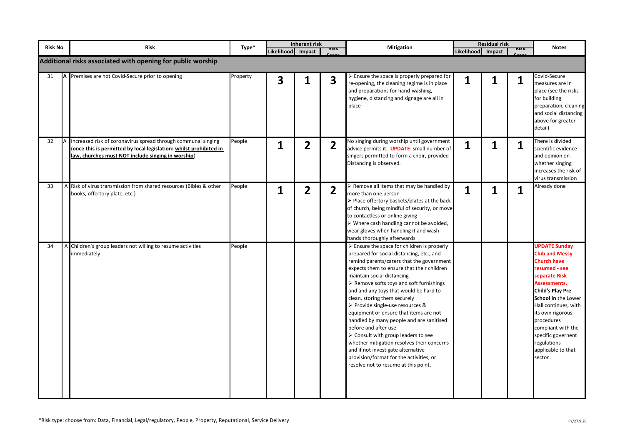| <b>Risk No</b> |   | <b>Risk</b>                                                                                                                                                                               | Type*    | Likelihood Impact | Inherent risk  |                | <b>Mitigation</b>                                                                                                                                                                                                                                                                                                                                                                                                                                                                                                                                                                                                                                                                                                                                    | Likelihood Impact | <b>Residual risk</b> | MSN | <b>Notes</b>                                                                                                                                                                                                                                                                                                                  |
|----------------|---|-------------------------------------------------------------------------------------------------------------------------------------------------------------------------------------------|----------|-------------------|----------------|----------------|------------------------------------------------------------------------------------------------------------------------------------------------------------------------------------------------------------------------------------------------------------------------------------------------------------------------------------------------------------------------------------------------------------------------------------------------------------------------------------------------------------------------------------------------------------------------------------------------------------------------------------------------------------------------------------------------------------------------------------------------------|-------------------|----------------------|-----|-------------------------------------------------------------------------------------------------------------------------------------------------------------------------------------------------------------------------------------------------------------------------------------------------------------------------------|
|                |   | Additional risks associated with opening for public worship                                                                                                                               |          |                   |                |                |                                                                                                                                                                                                                                                                                                                                                                                                                                                                                                                                                                                                                                                                                                                                                      |                   |                      |     |                                                                                                                                                                                                                                                                                                                               |
| 31             |   | A Premises are not Covid-Secure prior to opening                                                                                                                                          | Property | 3                 | 1              | 3              | $\triangleright$ Ensure the space is properly prepared for<br>re-opening, the cleaning regime is in place<br>and preparations for hand-washing,<br>hygiene, distancing and signage are all in<br>place                                                                                                                                                                                                                                                                                                                                                                                                                                                                                                                                               | 1                 | 1                    | 1   | Covid-Secure<br>measures are in<br>place (see the risks<br>for building<br>preparation, cleaning<br>and social distancing<br>above for greater<br>detail)                                                                                                                                                                     |
| 32             |   | Increased risk of coronavirus spread through communal singing<br>(once this is permitted by local legislation: whilst prohibited in<br>law, churches must NOT include singing in worship) | People   | $\mathbf 1$       | 2              | 2              | No singing during worship until government<br>advice permits it. <b>UPDATE:</b> small number of<br>singers permitted to form a choir, provided<br>Distancing is observed.                                                                                                                                                                                                                                                                                                                                                                                                                                                                                                                                                                            | $\mathbf 1$       | 1                    | 1   | There is divided<br>scientific evidence<br>and opinion on<br>whether singing<br>increases the risk of<br>virus transmission                                                                                                                                                                                                   |
| 33             |   | A Risk of virus transmission from shared resources (Bibles & other<br>books, offertory plate, etc.)                                                                                       | People   | $\mathbf{1}$      | $\overline{2}$ | $\overline{2}$ | > Remove all items that may be handled by<br>more than one person<br>> Place offertory baskets/plates at the back<br>of church, being mindful of security, or move<br>to contactless or online giving<br>$\triangleright$ Where cash handling cannot be avoided,<br>wear gloves when handling it and wash<br>hands thoroughly afterwards                                                                                                                                                                                                                                                                                                                                                                                                             | $\mathbf{1}$      | $\mathbf{1}$         | 1   | Already done                                                                                                                                                                                                                                                                                                                  |
| 34             | Α | Children's group leaders not willing to resume activities<br>immediately                                                                                                                  | People   |                   |                |                | $\triangleright$ Ensure the space for children is properly<br>prepared for social distancing, etc., and<br>remind parents/carers that the government<br>expects them to ensure that their children<br>maintain social distancing<br>$\triangleright$ Remove softs toys and soft furnishings<br>and and any toys that would be hard to<br>clean, storing them securely<br>▶ Provide single-use resources &<br>equipment or ensure that items are not<br>handled by many people and are sanitised<br>before and after use<br>$\triangleright$ Consult with group leaders to see<br>whether mitigation resolves their concerns<br>and if not investigate alternative<br>provision/format for the activities, or<br>resolve not to resume at this point. |                   |                      |     | <b>UPDATE Sunday</b><br><b>Club and Messy</b><br><b>Church have</b><br>resumed - see<br>separate Risk<br>Assessments.<br><b>Child's Play Pre</b><br>School in the Lower<br>Hall continues, with<br>its own rigorous<br>procedures<br>compliant with the<br>specific governent<br>regulations<br>applicable to that<br>sector. |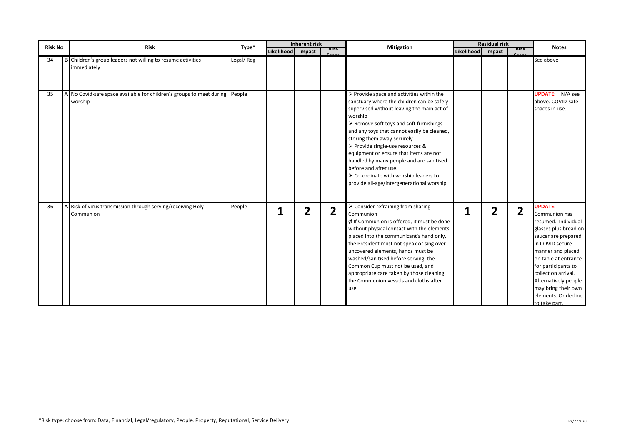| <b>Risk No</b> | <b>Risk</b>                                                                            | Type*     |                   | <b>Inherent risk</b> |                | <b>Mitigation</b>                                                                                                                                                                                                                                                                                                                                                                                                                                                                                                                               |                   | <b>Residual risk</b> |                | <b>Notes</b>                                                                                                                                                                                                                                                                                                 |
|----------------|----------------------------------------------------------------------------------------|-----------|-------------------|----------------------|----------------|-------------------------------------------------------------------------------------------------------------------------------------------------------------------------------------------------------------------------------------------------------------------------------------------------------------------------------------------------------------------------------------------------------------------------------------------------------------------------------------------------------------------------------------------------|-------------------|----------------------|----------------|--------------------------------------------------------------------------------------------------------------------------------------------------------------------------------------------------------------------------------------------------------------------------------------------------------------|
|                |                                                                                        |           | Likelihood Impact |                      | msv            |                                                                                                                                                                                                                                                                                                                                                                                                                                                                                                                                                 | Likelihood Impact |                      | msk            |                                                                                                                                                                                                                                                                                                              |
| 34             | B Children's group leaders not willing to resume activities<br>immediately             | Legal/Reg |                   |                      |                |                                                                                                                                                                                                                                                                                                                                                                                                                                                                                                                                                 |                   |                      |                | See above                                                                                                                                                                                                                                                                                                    |
| 35             | A No Covid-safe space available for children's groups to meet during People<br>worship |           |                   |                      |                | $\triangleright$ Provide space and activities within the<br>sanctuary where the children can be safely<br>supervised without leaving the main act of<br>worship<br>$\triangleright$ Remove soft toys and soft furnishings<br>and any toys that cannot easily be cleaned,<br>storing them away securely<br>> Provide single-use resources &<br>equipment or ensure that items are not<br>handled by many people and are sanitised<br>before and after use.<br>> Co-ordinate with worship leaders to<br>provide all-age/intergenerational worship |                   |                      |                | <b>UPDATE:</b> N/A see<br>above. COVID-safe<br>spaces in use.                                                                                                                                                                                                                                                |
| 36             | A Risk of virus transmission through serving/receiving Holy<br>Communion               | People    | 1                 | $\overline{2}$       | $\overline{2}$ | $\triangleright$ Consider refraining from sharing<br>Communion<br>$\emptyset$ If Communion is offered, it must be done<br>without physical contact with the elements<br>placed into the communicant's hand only,<br>the President must not speak or sing over<br>uncovered elements, hands must be<br>washed/sanitised before serving, the<br>Common Cup must not be used, and<br>appropriate care taken by those cleaning<br>the Communion vessels and cloths after<br>use.                                                                    | 1                 | $\overline{2}$       | $\overline{2}$ | <b>UPDATE:</b><br>Communion has<br>resumed. Individual<br>glasses plus bread on<br>saucer are prepared<br>in COVID secure<br>manner and placed<br>on table at entrance<br>for participants to<br>collect on arrival.<br>Alternatively people<br>may bring their own<br>elements. Or decline<br>to take part. |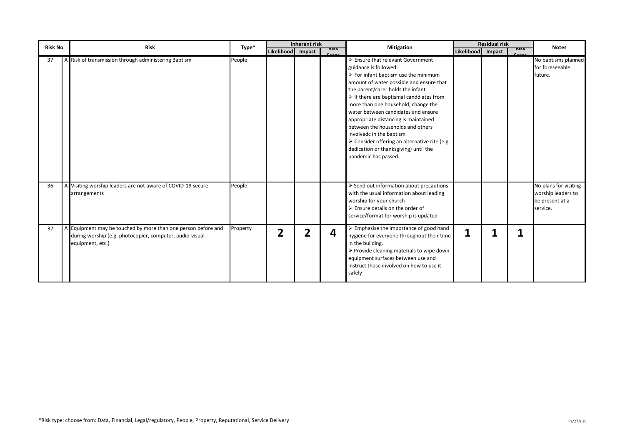| <b>Risk No</b> | <b>Risk</b>                                                                                                                                   | Type*    |                   | <b>Inherent risk</b> |     | <b>Mitigation</b>                                                                                                                                                                                                                                                                                                                                                                                                                                                                                                                                                   |                   | <b>Residual risk</b> |     | <b>Notes</b>                                                               |
|----------------|-----------------------------------------------------------------------------------------------------------------------------------------------|----------|-------------------|----------------------|-----|---------------------------------------------------------------------------------------------------------------------------------------------------------------------------------------------------------------------------------------------------------------------------------------------------------------------------------------------------------------------------------------------------------------------------------------------------------------------------------------------------------------------------------------------------------------------|-------------------|----------------------|-----|----------------------------------------------------------------------------|
|                |                                                                                                                                               |          | Likelihood Impact |                      | msv |                                                                                                                                                                                                                                                                                                                                                                                                                                                                                                                                                                     | Likelihood Impact |                      | msn |                                                                            |
| 37             | A Risk of transmission through administering Baptism                                                                                          | People   |                   |                      |     | Ensure that relevant Government<br>guidance is followed<br>$\triangleright$ For infant baptism use the minimum<br>amount of water possible and ensure that<br>the parent/carer holds the infant<br>$\triangleright$ If there are baptismal canddiates from<br>more than one household, change the<br>water between candidates and ensure<br>appropriate distancing is maintained<br>between the households and others<br>involvedc in the baptism<br>> Consider offering an alternative rite (e.g.<br>dedication or thanksgiving) until the<br>pandemic has passed. |                   |                      |     | No baptisms planned<br>for foreseeable<br>future.                          |
| 36             | A Visiting worship leaders are not aware of COVID-19 secure<br>arrangements                                                                   | People   |                   |                      |     | > Send out information about precautions<br>with the usual information about leading<br>worship for your church<br>$\triangleright$ Ensure details on the order of<br>service/format for worship is updated                                                                                                                                                                                                                                                                                                                                                         |                   |                      |     | No plans for visiting<br>worship leaders to<br>be present at a<br>service. |
| 37             | A Equipment may be touched by more than one person before and<br>during worship (e.g. photocopier, computer, audio-visual<br>equipment, etc.) | Property | $\overline{2}$    |                      | 4   | $\triangleright$ Emphasise the importance of good hand<br>hygiene for everyone throughout their time<br>in the building.<br>$\triangleright$ Provide cleaning materials to wipe down<br>equipment surfaces between use and<br>instruct those involved on how to use it<br>safely                                                                                                                                                                                                                                                                                    | 1                 |                      |     |                                                                            |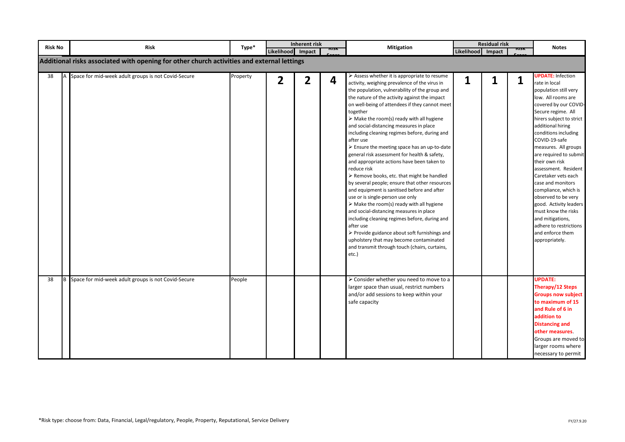| <b>Risk No</b> | Risk                                                                                       | Type*    | Likelihood Impact | <b>Inherent risk</b> | NISN | <b>Mitigation</b>                                                                                                                                                                                                                                                                                                                                                                                                                                                                                                                                                                                                                                                                                                                                                                                                                                                                                                                                                                                                                                                                                                                                           | Likelihood Impact | <b>Residual risk</b><br>msk | <b>Notes</b>                                                                                                                                                                                                                                                                                                                                                                                                                                                                                                                                                  |
|----------------|--------------------------------------------------------------------------------------------|----------|-------------------|----------------------|------|-------------------------------------------------------------------------------------------------------------------------------------------------------------------------------------------------------------------------------------------------------------------------------------------------------------------------------------------------------------------------------------------------------------------------------------------------------------------------------------------------------------------------------------------------------------------------------------------------------------------------------------------------------------------------------------------------------------------------------------------------------------------------------------------------------------------------------------------------------------------------------------------------------------------------------------------------------------------------------------------------------------------------------------------------------------------------------------------------------------------------------------------------------------|-------------------|-----------------------------|---------------------------------------------------------------------------------------------------------------------------------------------------------------------------------------------------------------------------------------------------------------------------------------------------------------------------------------------------------------------------------------------------------------------------------------------------------------------------------------------------------------------------------------------------------------|
|                | Additional risks associated with opening for other church activities and external lettings |          |                   |                      |      |                                                                                                                                                                                                                                                                                                                                                                                                                                                                                                                                                                                                                                                                                                                                                                                                                                                                                                                                                                                                                                                                                                                                                             |                   |                             |                                                                                                                                                                                                                                                                                                                                                                                                                                                                                                                                                               |
| 38             | Space for mid-week adult groups is not Covid-Secure                                        | Property | $\overline{2}$    | $\overline{2}$       | 4    | $\triangleright$ Assess whether it is appropriate to resume<br>activity, weighing prevalence of the virus in<br>the population, vulnerability of the group and<br>the nature of the activity against the impact<br>on well-being of attendees if they cannot meet<br>together<br>$\triangleright$ Make the room(s) ready with all hygiene<br>and social-distancing measures in place<br>including cleaning regimes before, during and<br>after use<br>$\triangleright$ Ensure the meeting space has an up-to-date<br>general risk assessment for health & safety,<br>and appropriate actions have been taken to<br>reduce risk<br>> Remove books, etc. that might be handled<br>by several people; ensure that other resources<br>and equipment is sanitised before and after<br>use or is single-person use only<br>$\triangleright$ Make the room(s) ready with all hygiene<br>and social-distancing measures in place<br>including cleaning regimes before, during and<br>after use<br>$\triangleright$ Provide guidance about soft furnishings and<br>upholstery that may become contaminated<br>and transmit through touch (chairs, curtains,<br>etc.) | 1                 | 1<br>1                      | <b>UPDATE: Infection</b><br>rate in local<br>population still very<br>low. All rooms are<br>covered by our COVID-<br>Secure regime. All<br>hirers subject to strict<br>additional hiring<br>conditions including<br>COVID-19-safe<br>measures. All groups<br>are required to submit<br>their own risk<br>assessment. Resident<br>Caretaker vets each<br>case and monitors<br>compliance, which is<br>observed to be very<br>good. Activity leaders<br>must know the risks<br>and mitigations,<br>adhere to restrictions<br>and enforce them<br>appropriately. |
| 38             | Space for mid-week adult groups is not Covid-Secure                                        | People   |                   |                      |      | > Consider whether you need to move to a<br>larger space than usual, restrict numbers<br>and/or add sessions to keep within your<br>safe capacity                                                                                                                                                                                                                                                                                                                                                                                                                                                                                                                                                                                                                                                                                                                                                                                                                                                                                                                                                                                                           |                   |                             | <b>UPDATE:</b><br>Therapy/12 Steps<br><b>Groups now subject</b><br>to maximum of 15<br>and Rule of 6 in<br>addition to<br><b>Distancing and</b><br>other measures.<br>Groups are moved to<br>larger rooms where<br>necessary to permit                                                                                                                                                                                                                                                                                                                        |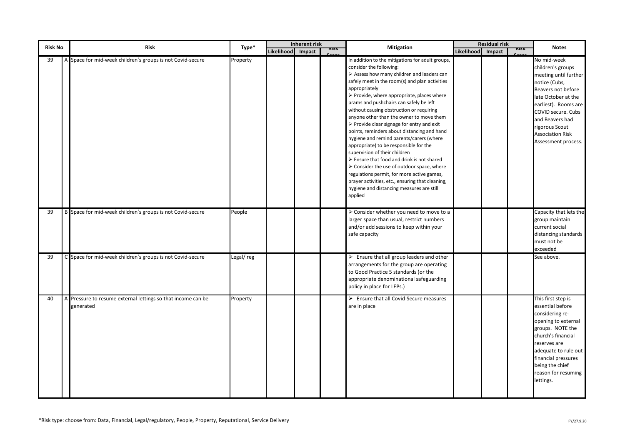| <b>Risk No</b>       | <b>Risk</b>                                                             | Type*     |                   | <b>Inherent risk</b> |     | <b>Mitigation</b>                                                                                                                                                                                                                                                                                                                                                                                                                                                                                                                                                                                                                                                                                                                                                                                                                                                                                                                  |                   | <b>Residual risk</b> | msn | <b>Notes</b>                                                                                                                                                                                                                                                 |
|----------------------|-------------------------------------------------------------------------|-----------|-------------------|----------------------|-----|------------------------------------------------------------------------------------------------------------------------------------------------------------------------------------------------------------------------------------------------------------------------------------------------------------------------------------------------------------------------------------------------------------------------------------------------------------------------------------------------------------------------------------------------------------------------------------------------------------------------------------------------------------------------------------------------------------------------------------------------------------------------------------------------------------------------------------------------------------------------------------------------------------------------------------|-------------------|----------------------|-----|--------------------------------------------------------------------------------------------------------------------------------------------------------------------------------------------------------------------------------------------------------------|
|                      |                                                                         |           | Likelihood Impact |                      | NNN |                                                                                                                                                                                                                                                                                                                                                                                                                                                                                                                                                                                                                                                                                                                                                                                                                                                                                                                                    | Likelihood Impact |                      |     |                                                                                                                                                                                                                                                              |
| 39<br>$\overline{A}$ | Space for mid-week children's groups is not Covid-secure                | Property  |                   |                      |     | In addition to the mitigations for adult groups,<br>consider the following:<br>$\triangleright$ Assess how many children and leaders can<br>safely meet in the room(s) and plan activities<br>appropriately<br>$\triangleright$ Provide, where appropriate, places where<br>prams and pushchairs can safely be left<br>without causing obstruction or requiring<br>anyone other than the owner to move them<br>$\triangleright$ Provide clear signage for entry and exit<br>points, reminders about distancing and hand<br>hygiene and remind parents/carers (where<br>appropriate) to be responsible for the<br>supervision of their children<br>$\triangleright$ Ensure that food and drink is not shared<br>$\triangleright$ Consider the use of outdoor space, where<br>regulations permit, for more active games,<br>prayer activities, etc., ensuring that cleaning,<br>hygiene and distancing measures are still<br>applied |                   |                      |     | No mid-week<br>children's groups<br>meeting until further<br>notice (Cubs,<br>Beavers not before<br>late October at the<br>earliest). Rooms are<br>COVID secure. Cubs<br>and Beavers had<br>rigorous Scout<br><b>Association Risk</b><br>Assessment process. |
| 39<br>B              | Space for mid-week children's groups is not Covid-secure                | People    |                   |                      |     | > Consider whether you need to move to a<br>larger space than usual, restrict numbers<br>and/or add sessions to keep within your<br>safe capacity                                                                                                                                                                                                                                                                                                                                                                                                                                                                                                                                                                                                                                                                                                                                                                                  |                   |                      |     | Capacity that lets the<br>group maintain<br>current social<br>distancing standards<br>must not be<br>exceeded                                                                                                                                                |
| 39                   | C Space for mid-week children's groups is not Covid-secure              | Legal/reg |                   |                      |     | $\triangleright$ Ensure that all group leaders and other<br>arrangements for the group are operating<br>to Good Practice 5 standards (or the<br>appropriate denominational safeguarding<br>policy in place for LEPs.)                                                                                                                                                                                                                                                                                                                                                                                                                                                                                                                                                                                                                                                                                                              |                   |                      |     | See above.                                                                                                                                                                                                                                                   |
| 40                   | Pressure to resume external lettings so that income can be<br>generated | Property  |                   |                      |     | $\triangleright$ Ensure that all Covid-Secure measures<br>are in place                                                                                                                                                                                                                                                                                                                                                                                                                                                                                                                                                                                                                                                                                                                                                                                                                                                             |                   |                      |     | This first step is<br>essential before<br>considering re-<br>opening to external<br>groups. NOTE the<br>church's financial<br>reserves are<br>adequate to rule out<br>financial pressures<br>being the chief<br>reason for resuming<br>lettings.             |